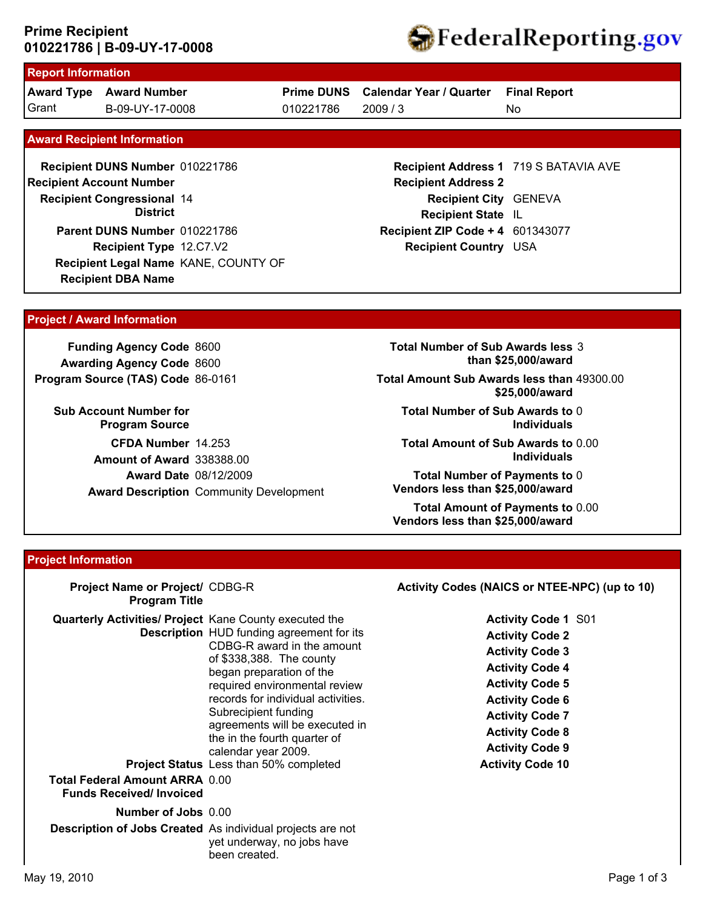# **010221786 | B-09-UY-17-0008 Prime Recipient**



# **Report Information**

**Award Type Award Number** Grant B-09-UY-17-0008 010221786 2009 / 3

**Prime DUNS Calendar Year / Quarter**

010221786

**Final Report**

No

#### **Award Recipient Information**

**Recipient DBA Name Recipient DUNS Number** 010221786 **Recipient Congressional 14 Recipient Account Number District Recipient Type** 12.C7.V2 **Parent DUNS Number** 010221786 **Recipient Legal Name** KANE, COUNTY OF

**Recipient Address 1** 719 S BATAVIA AVE **Recipient Address 2 Recipient City** GENEVA **Recipient State** IL **Recipient ZIP Code + 4** 601343077 **Recipient Country** USA

### **Project / Award Information**

**Funding Agency Code** 8600 **Awarding Agency Code** 8600 **Program Source (TAS) Code** 86-0161

**Sub Account Number for Program Source CFDA Number** 14.253 **Award Date** 08/12/2009 **Award Description** Community Development **Amount of Award** 338388.00

**Total Number of Sub Awards less** 3 **than \$25,000/award**

**Total Amount Sub Awards less than** 49300.00 **\$25,000/award**

**Total Number of Sub Awards to** 0 **Individuals**

**Total Amount of Sub Awards to** 0.00 **Individuals**

**Total Number of Payments to** 0 **Vendors less than \$25,000/award**

**Total Amount of Payments to** 0.00 **Vendors less than \$25,000/award**

### **Project Information**

| Project Name or Project/ CDBG-R<br><b>Program Title</b>                                                                                  |                                                                                                                                                                                                                                                                                                                                                                                 | Activity Codes (NAICS or NTEE-NPC) (up to 10)                                                                                                                                                                                                                         |
|------------------------------------------------------------------------------------------------------------------------------------------|---------------------------------------------------------------------------------------------------------------------------------------------------------------------------------------------------------------------------------------------------------------------------------------------------------------------------------------------------------------------------------|-----------------------------------------------------------------------------------------------------------------------------------------------------------------------------------------------------------------------------------------------------------------------|
| <b>Quarterly Activities/ Project Kane County executed the</b><br><b>Total Federal Amount ARRA 0.00</b><br><b>Funds Received/Invoiced</b> | <b>Description</b> HUD funding agreement for its<br>CDBG-R award in the amount<br>of \$338,388. The county<br>began preparation of the<br>required environmental review<br>records for individual activities.<br>Subrecipient funding<br>agreements will be executed in<br>the in the fourth quarter of<br>calendar year 2009.<br><b>Project Status</b> Less than 50% completed | <b>Activity Code 1 S01</b><br><b>Activity Code 2</b><br><b>Activity Code 3</b><br><b>Activity Code 4</b><br><b>Activity Code 5</b><br><b>Activity Code 6</b><br><b>Activity Code 7</b><br><b>Activity Code 8</b><br><b>Activity Code 9</b><br><b>Activity Code 10</b> |
| <b>Number of Jobs</b> 0.00<br>Description of Jobs Created As individual projects are not                                                 | yet underway, no jobs have<br>been created.                                                                                                                                                                                                                                                                                                                                     |                                                                                                                                                                                                                                                                       |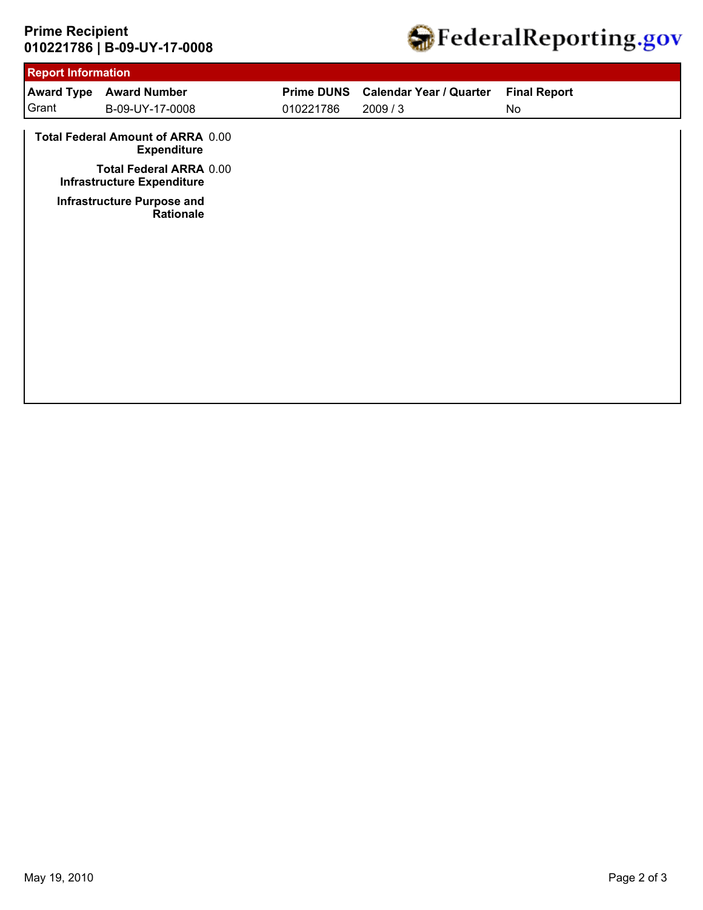# **010221786 | B-09-UY-17-0008 Prime Recipient**



| <b>Report Information</b>                                           |           |                                |                     |  |  |
|---------------------------------------------------------------------|-----------|--------------------------------|---------------------|--|--|
| <b>Award Number</b><br><b>Award Type</b>                            |           | <b>Calendar Year / Quarter</b> | <b>Final Report</b> |  |  |
| B-09-UY-17-0008                                                     | 010221786 | 2009/3                         | No                  |  |  |
| Total Federal Amount of ARRA 0.00<br><b>Expenditure</b>             |           |                                |                     |  |  |
| <b>Total Federal ARRA 0.00</b><br><b>Infrastructure Expenditure</b> |           |                                |                     |  |  |
| <b>Infrastructure Purpose and</b><br>Rationale                      |           |                                |                     |  |  |
|                                                                     |           |                                |                     |  |  |
|                                                                     |           |                                |                     |  |  |
|                                                                     |           |                                |                     |  |  |
|                                                                     |           |                                |                     |  |  |
|                                                                     |           |                                |                     |  |  |
|                                                                     |           |                                |                     |  |  |
|                                                                     |           |                                | <b>Prime DUNS</b>   |  |  |